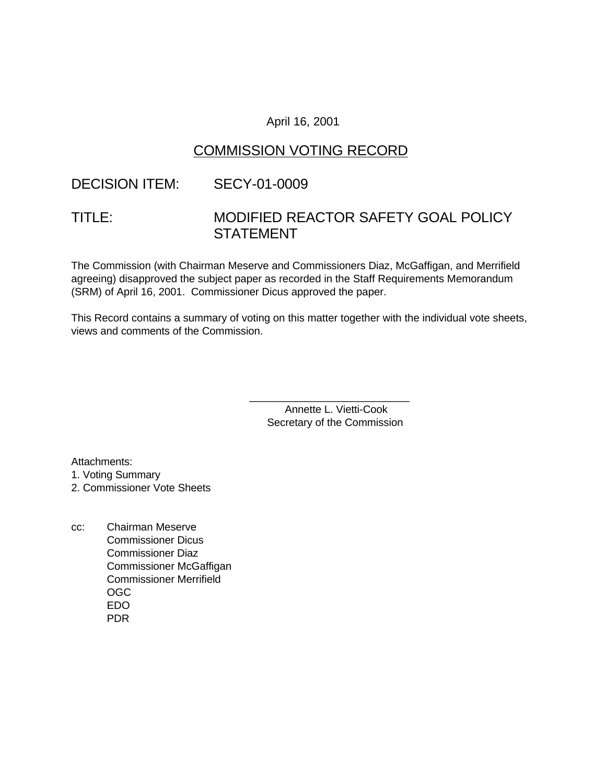### April 16, 2001

# COMMISSION VOTING RECORD

## DECISION ITEM: SECY-01-0009

# TITLE: MODIFIED REACTOR SAFETY GOAL POLICY **STATEMENT**

The Commission (with Chairman Meserve and Commissioners Diaz, McGaffigan, and Merrifield agreeing) disapproved the subject paper as recorded in the Staff Requirements Memorandum (SRM) of April 16, 2001. Commissioner Dicus approved the paper.

This Record contains a summary of voting on this matter together with the individual vote sheets, views and comments of the Commission.

> Annette L. Vietti-Cook Secretary of the Commission

\_\_\_\_\_\_\_\_\_\_\_\_\_\_\_\_\_\_\_\_\_\_\_\_\_\_\_

Attachments:

1. Voting Summary

2. Commissioner Vote Sheets

cc: Chairman Meserve Commissioner Dicus Commissioner Diaz Commissioner McGaffigan Commissioner Merrifield OGC EDO PDR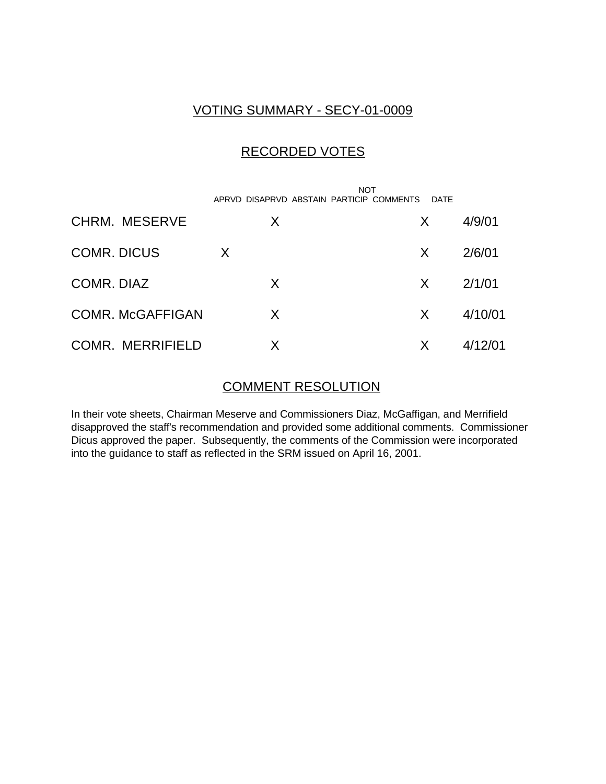# VOTING SUMMARY - SECY-01-0009

# RECORDED VOTES

|                         |   | <b>NOT</b><br>APRVD DISAPRVD ABSTAIN PARTICIP COMMENTS | DATE |         |
|-------------------------|---|--------------------------------------------------------|------|---------|
| CHRM. MESERVE           | X |                                                        | X.   | 4/9/01  |
| <b>COMR. DICUS</b>      | X |                                                        | X.   | 2/6/01  |
| COMR, DIAZ              | X |                                                        | X.   | 2/1/01  |
| <b>COMR. McGAFFIGAN</b> | X |                                                        | X.   | 4/10/01 |
| <b>COMR. MERRIFIELD</b> |   |                                                        | X    | 4/12/01 |

### COMMENT RESOLUTION

In their vote sheets, Chairman Meserve and Commissioners Diaz, McGaffigan, and Merrifield disapproved the staff's recommendation and provided some additional comments. Commissioner Dicus approved the paper. Subsequently, the comments of the Commission were incorporated into the guidance to staff as reflected in the SRM issued on April 16, 2001.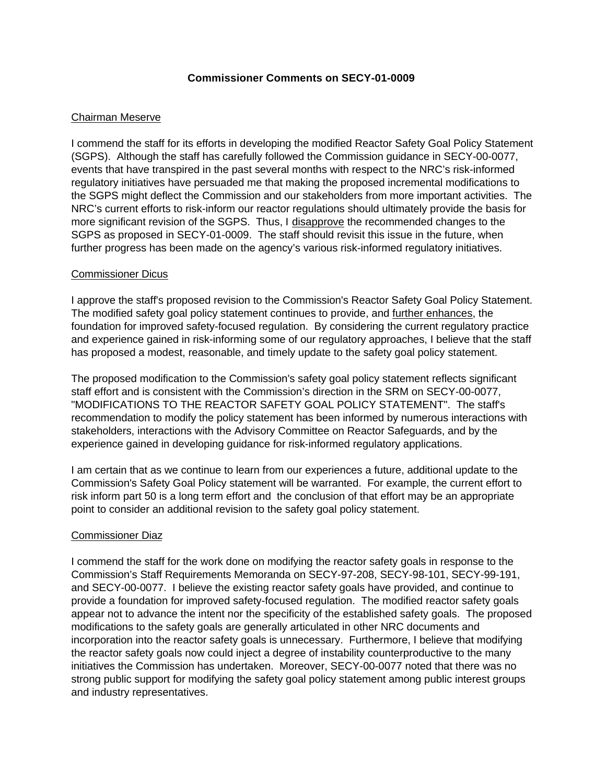#### **Commissioner Comments on SECY-01-0009**

### Chairman Meserve

I commend the staff for its efforts in developing the modified Reactor Safety Goal Policy Statement (SGPS). Although the staff has carefully followed the Commission guidance in SECY-00-0077, events that have transpired in the past several months with respect to the NRC's risk-informed regulatory initiatives have persuaded me that making the proposed incremental modifications to the SGPS might deflect the Commission and our stakeholders from more important activities. The NRC's current efforts to risk-inform our reactor regulations should ultimately provide the basis for more significant revision of the SGPS. Thus, I disapprove the recommended changes to the SGPS as proposed in SECY-01-0009. The staff should revisit this issue in the future, when further progress has been made on the agency's various risk-informed regulatory initiatives.

#### Commissioner Dicus

I approve the staff's proposed revision to the Commission's Reactor Safety Goal Policy Statement. The modified safety goal policy statement continues to provide, and further enhances, the foundation for improved safety-focused regulation. By considering the current regulatory practice and experience gained in risk-informing some of our regulatory approaches, I believe that the staff has proposed a modest, reasonable, and timely update to the safety goal policy statement.

The proposed modification to the Commission's safety goal policy statement reflects significant staff effort and is consistent with the Commission's direction in the SRM on SECY-00-0077, "MODIFICATIONS TO THE REACTOR SAFETY GOAL POLICY STATEMENT". The staff's recommendation to modify the policy statement has been informed by numerous interactions with stakeholders, interactions with the Advisory Committee on Reactor Safeguards, and by the experience gained in developing guidance for risk-informed regulatory applications.

I am certain that as we continue to learn from our experiences a future, additional update to the Commission's Safety Goal Policy statement will be warranted. For example, the current effort to risk inform part 50 is a long term effort and the conclusion of that effort may be an appropriate point to consider an additional revision to the safety goal policy statement.

### Commissioner Diaz

I commend the staff for the work done on modifying the reactor safety goals in response to the Commission's Staff Requirements Memoranda on SECY-97-208, SECY-98-101, SECY-99-191, and SECY-00-0077. I believe the existing reactor safety goals have provided, and continue to provide a foundation for improved safety-focused regulation. The modified reactor safety goals appear not to advance the intent nor the specificity of the established safety goals. The proposed modifications to the safety goals are generally articulated in other NRC documents and incorporation into the reactor safety goals is unnecessary. Furthermore, I believe that modifying the reactor safety goals now could inject a degree of instability counterproductive to the many initiatives the Commission has undertaken. Moreover, SECY-00-0077 noted that there was no strong public support for modifying the safety goal policy statement among public interest groups and industry representatives.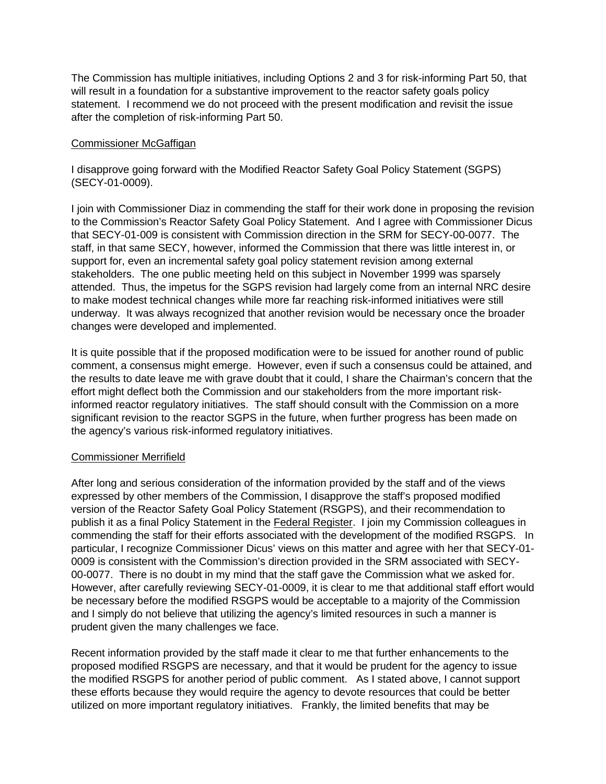The Commission has multiple initiatives, including Options 2 and 3 for risk-informing Part 50, that will result in a foundation for a substantive improvement to the reactor safety goals policy statement. I recommend we do not proceed with the present modification and revisit the issue after the completion of risk-informing Part 50.

### Commissioner McGaffigan

I disapprove going forward with the Modified Reactor Safety Goal Policy Statement (SGPS) (SECY-01-0009).

I join with Commissioner Diaz in commending the staff for their work done in proposing the revision to the Commission's Reactor Safety Goal Policy Statement. And I agree with Commissioner Dicus that SECY-01-009 is consistent with Commission direction in the SRM for SECY-00-0077. The staff, in that same SECY, however, informed the Commission that there was little interest in, or support for, even an incremental safety goal policy statement revision among external stakeholders. The one public meeting held on this subject in November 1999 was sparsely attended. Thus, the impetus for the SGPS revision had largely come from an internal NRC desire to make modest technical changes while more far reaching risk-informed initiatives were still underway. It was always recognized that another revision would be necessary once the broader changes were developed and implemented.

It is quite possible that if the proposed modification were to be issued for another round of public comment, a consensus might emerge. However, even if such a consensus could be attained, and the results to date leave me with grave doubt that it could, I share the Chairman's concern that the effort might deflect both the Commission and our stakeholders from the more important riskinformed reactor regulatory initiatives. The staff should consult with the Commission on a more significant revision to the reactor SGPS in the future, when further progress has been made on the agency's various risk-informed regulatory initiatives.

#### Commissioner Merrifield

After long and serious consideration of the information provided by the staff and of the views expressed by other members of the Commission, I disapprove the staff's proposed modified version of the Reactor Safety Goal Policy Statement (RSGPS), and their recommendation to publish it as a final Policy Statement in the Federal Register. I join my Commission colleagues in commending the staff for their efforts associated with the development of the modified RSGPS. In particular, I recognize Commissioner Dicus' views on this matter and agree with her that SECY-01- 0009 is consistent with the Commission's direction provided in the SRM associated with SECY-00-0077. There is no doubt in my mind that the staff gave the Commission what we asked for. However, after carefully reviewing SECY-01-0009, it is clear to me that additional staff effort would be necessary before the modified RSGPS would be acceptable to a majority of the Commission and I simply do not believe that utilizing the agency's limited resources in such a manner is prudent given the many challenges we face.

Recent information provided by the staff made it clear to me that further enhancements to the proposed modified RSGPS are necessary, and that it would be prudent for the agency to issue the modified RSGPS for another period of public comment. As I stated above, I cannot support these efforts because they would require the agency to devote resources that could be better utilized on more important regulatory initiatives. Frankly, the limited benefits that may be